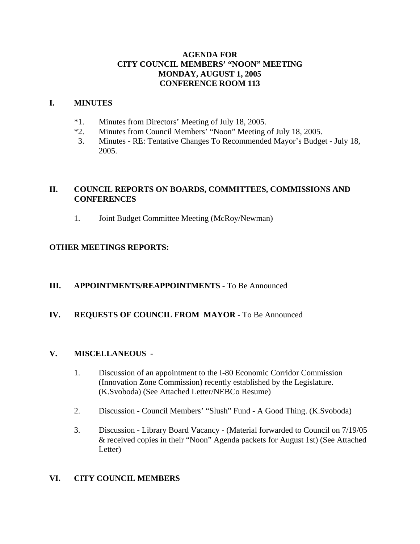## **AGENDA FOR CITY COUNCIL MEMBERS' "NOON" MEETING MONDAY, AUGUST 1, 2005 CONFERENCE ROOM 113**

## **I. MINUTES**

- \*1. Minutes from Directors' Meeting of July 18, 2005.
- \*2. Minutes from Council Members' "Noon" Meeting of July 18, 2005.
- 3. Minutes RE: Tentative Changes To Recommended Mayor's Budget July 18, 2005.

# **II. COUNCIL REPORTS ON BOARDS, COMMITTEES, COMMISSIONS AND CONFERENCES**

1. Joint Budget Committee Meeting (McRoy/Newman)

## **OTHER MEETINGS REPORTS:**

## **III.** APPOINTMENTS/REAPPOINTMENTS - To Be Announced

## **IV. REQUESTS OF COUNCIL FROM MAYOR -** To Be Announced

## **V. MISCELLANEOUS** -

- 1. Discussion of an appointment to the I-80 Economic Corridor Commission (Innovation Zone Commission) recently established by the Legislature. (K.Svoboda) (See Attached Letter/NEBCo Resume)
- 2. Discussion Council Members' "Slush" Fund A Good Thing. (K.Svoboda)
- 3. Discussion Library Board Vacancy (Material forwarded to Council on 7/19/05 & received copies in their "Noon" Agenda packets for August 1st) (See Attached Letter)

## **VI. CITY COUNCIL MEMBERS**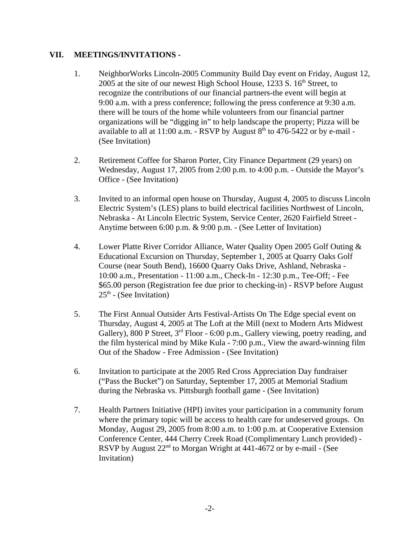## **VII. MEETINGS/INVITATIONS -**

- 1. NeighborWorks Lincoln-2005 Community Build Day event on Friday, August 12, 2005 at the site of our newest High School House,  $1233 S$ .  $16<sup>th</sup>$  Street, to recognize the contributions of our financial partners-the event will begin at 9:00 a.m. with a press conference; following the press conference at 9:30 a.m. there will be tours of the home while volunteers from our financial partner organizations will be "digging in" to help landscape the property; Pizza will be available to all at  $11:00$  a.m. - RSVP by August  $8<sup>th</sup>$  to 476-5422 or by e-mail -(See Invitation)
- 2. Retirement Coffee for Sharon Porter, City Finance Department (29 years) on Wednesday, August 17, 2005 from 2:00 p.m. to 4:00 p.m. - Outside the Mayor's Office - (See Invitation)
- 3. Invited to an informal open house on Thursday, August 4, 2005 to discuss Lincoln Electric System's (LES) plans to build electrical facilities Northwest of Lincoln, Nebraska - At Lincoln Electric System, Service Center, 2620 Fairfield Street - Anytime between 6:00 p.m. & 9:00 p.m. - (See Letter of Invitation)
- 4. Lower Platte River Corridor Alliance, Water Quality Open 2005 Golf Outing & Educational Excursion on Thursday, September 1, 2005 at Quarry Oaks Golf Course (near South Bend), 16600 Quarry Oaks Drive, Ashland, Nebraska - 10:00 a.m., Presentation - 11:00 a.m., Check-In - 12:30 p.m., Tee-Off; - Fee \$65.00 person (Registration fee due prior to checking-in) - RSVP before August  $25<sup>th</sup>$  - (See Invitation)
- 5. The First Annual Outsider Arts Festival-Artists On The Edge special event on Thursday, August 4, 2005 at The Loft at the Mill (next to Modern Arts Midwest Gallery), 800 P Street,  $3<sup>rd</sup>$  Floor - 6:00 p.m., Gallery viewing, poetry reading, and the film hysterical mind by Mike Kula - 7:00 p.m., View the award-winning film Out of the Shadow - Free Admission - (See Invitation)
- 6. Invitation to participate at the 2005 Red Cross Appreciation Day fundraiser ("Pass the Bucket") on Saturday, September 17, 2005 at Memorial Stadium during the Nebraska vs. Pittsburgh football game - (See Invitation)
- 7. Health Partners Initiative (HPI) invites your participation in a community forum where the primary topic will be access to health care for undeserved groups. On Monday, August 29, 2005 from 8:00 a.m. to 1:00 p.m. at Cooperative Extension Conference Center, 444 Cherry Creek Road (Complimentary Lunch provided) - RSVP by August 22<sup>nd</sup> to Morgan Wright at 441-4672 or by e-mail - (See Invitation)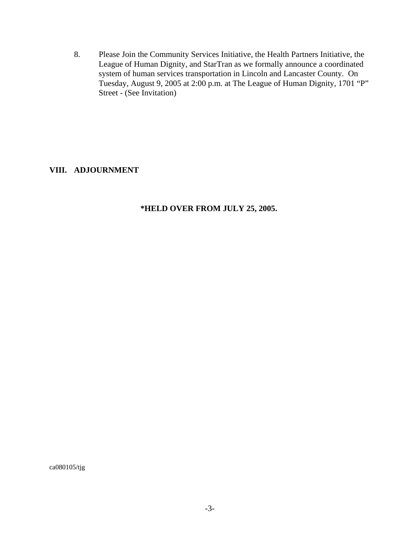8. Please Join the Community Services Initiative, the Health Partners Initiative, the League of Human Dignity, and StarTran as we formally announce a coordinated system of human services transportation in Lincoln and Lancaster County. On Tuesday, August 9, 2005 at 2:00 p.m. at The League of Human Dignity, 1701 "P" Street - (See Invitation)

## **VIII. ADJOURNMENT**

## **\*HELD OVER FROM JULY 25, 2005.**

ca080105/tjg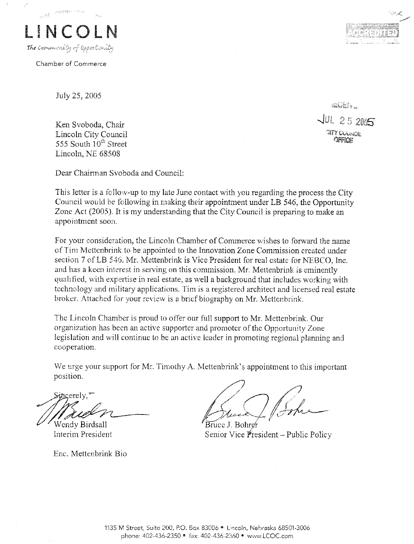

Chamber of Commerce

July 25, 2005

Ken Svoboda, Chair Lincoln City Council 555 South 10<sup>th</sup> Street Lincoln, NE 68508

Dear Chairman Svoboda and Council:

This letter is a follow-up to my late June contact with you regarding the process the City Council would be following in making their appointment under LB 546, the Opportunity Zone Act (2005). It is my understanding that the City Council is preparing to make an appointment soon.

For your consideration, the Lincoln Chamber of Commerce wishes to forward the name of Tim Mettenbrink to be appointed to the Innovation Zone Commission created under section 7 of LB 546. Mr. Mettenbrink is Vice President for real estate for NEBCO, Inc. and has a keen interest in serving on this commission. Mr. Mettenbrink is eminently qualified, with expertise in real estate, as well a background that includes working with technology and military applications. Tim is a registered architect and licensed real estate broker. Attached for your review is a brief biography on Mr. Mettenbrink.

The Lincoln Chamber is proud to offer our full support to Mr. Mettenbrink. Our organization has been an active supporter and promoter of the Opportunity Zone legislation and will continue to be an active leader in promoting regional planning and cooperation.

We urge your support for Mr. Timothy A. Mettenbrink's appointment to this important position.

incerely."

Wendy Birdsall Interim President

Enc. Mettenbrink Bio

Bruce J. Bohren Senior Vice President - Public Policy

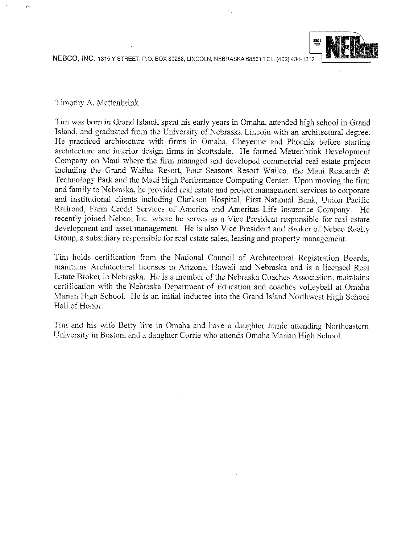NEBCO, INC. 1815 Y STREET, P.O. BOX 80268, LINCOLN, NEBRASKA 68501 TEL. (402) 434-1212



#### Timothy A. Mettenbrink

Tim was born in Grand Island, spent his early years in Omaha, attended high school in Grand Island, and graduated from the University of Nebraska Lincoln with an architectural degree. He practiced architecture with firms in Omaha, Cheyenne and Phoenix before starting architecture and interior design firms in Scottsdale. He formed Mettenbrink Development Company on Maui where the firm managed and developed commercial real estate projects including the Grand Wailea Resort, Four Seasons Resort Wailea, the Maui Research & Technology Park and the Maui High Performance Computing Center. Upon moving the firm and family to Nebraska, he provided real estate and project management services to corporate and institutional clients including Clarkson Hospital, First National Bank, Union Pacific Railroad, Farm Credit Services of America and Ameritas Life Insurance Company. He recently joined Nebco, Inc. where he serves as a Vice President responsible for real estate development and asset management. He is also Vice President and Broker of Nebco Realty Group, a subsidiary responsible for real estate sales, leasing and property management.

Tim holds certification from the National Council of Architectural Registration Boards. maintains Architectural licenses in Arizona, Hawaii and Nebraska and is a licensed Real Estate Broker in Nebraska. He is a member of the Nebraska Coaches Association, maintains certification with the Nebraska Department of Education and coaches volleyball at Omaha Marian High School. He is an initial inductee into the Grand Island Northwest High School Hall of Honor.

Tim and his wife Betty live in Omaha and have a daughter Jamie attending Northeastern University in Boston, and a daughter Corrie who attends Omaha Marian High School.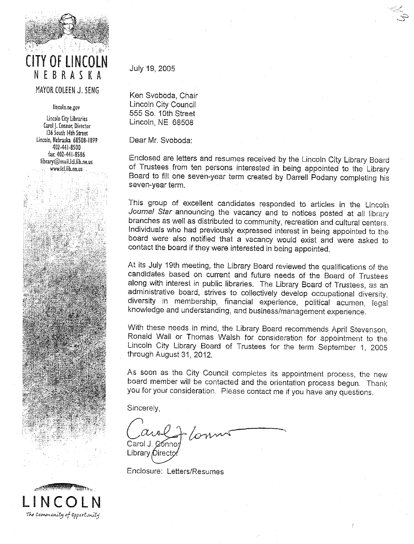

# NEBRASKA MAYOR COLEEN J. SENG

lincoln.ne.gov

Lincoln City Libraries Carol J. Connor, Director 136 South 14th Street Lincoln, Nebraska 68508-1899 402-441-8500 fax: 402-441-8586 library@mail.lcl.lib.ne.us www.lcl.lib.ne.us

## July 19, 2005

Ken Svoboda, Chair Lincoln City Council 555 So. 10th Street Lincoln, NE 68508

Dear Mr. Svoboda:

Enclosed are letters and resumes received by the Lincoln City Library Board of Trustees from ten persons interested in being appointed to the Library Board to fill one seven-year term created by Darrell Podany completing his seven-year term.

This group of excellent candidates responded to articles in the Lincoln Journal Star announcing the vacancy and to notices posted at all library branches as well as distributed to community, recreation and cultural centers. Individuals who had previously expressed interest in being appointed to the board were also notified that a vacancy would exist and were asked to contact the board if they were interested in being appointed.

At its July 19th meeting, the Library Board reviewed the qualifications of the candidates based on current and future needs of the Board of Trustees along with interest in public libraries. The Library Board of Trustees, as an administrative board, strives to collectively develop occupational diversity. diversity in membership, financial experience, political acumen, legal knowledge and understanding, and business/management experience.

With these needs in mind, the Library Board recommends April Stevenson. Ronald Wall or Thomas Walsh for consideration for appointment to the Lincoln City Library Board of Trustees for the term September 1, 2005 through August 31, 2012.

As soon as the City Council completes its appointment process, the new board member will be contacted and the orientation process begun. Thank you for your consideration. Please contact me if you have any questions.

Sincerely.

Carol J.

Library Direct

Enclosure: Letters/Resumes

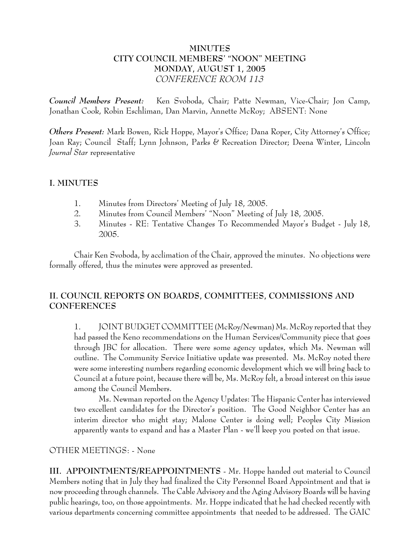# **MINUTES CITY COUNCIL MEMBERS' "NOON" MEETING MONDAY, AUGUST 1, 2005** *CONFERENCE ROOM 113*

*Council Members Present:* Ken Svoboda, Chair; Patte Newman, Vice-Chair; Jon Camp, Jonathan Cook, Robin Eschliman, Dan Marvin, Annette McRoy; ABSENT: None

*Others Present:* Mark Bowen, Rick Hoppe, Mayor's Office; Dana Roper, City Attorney's Office; Joan Ray; Council Staff; Lynn Johnson, Parks & Recreation Director; Deena Winter, Lincoln *Journal Star* representative

## **I. MINUTES**

- 1. Minutes from Directors' Meeting of July 18, 2005.
- 2. Minutes from Council Members' "Noon" Meeting of July 18, 2005.
- 3. Minutes RE: Tentative Changes To Recommended Mayor's Budget July 18, 2005.

Chair Ken Svoboda, by acclimation of the Chair, approved the minutes. No objections were formally offered, thus the minutes were approved as presented.

# **II. COUNCIL REPORTS ON BOARDS, COMMITTEES, COMMISSIONS AND CONFERENCES**

1. JOINT BUDGET COMMITTEE (McRoy/Newman) Ms. McRoy reported that they had passed the Keno recommendations on the Human Services/Community piece that goes through JBC for allocation. There were some agency updates, which Ms. Newman will outline. The Community Service Initiative update was presented. Ms. McRoy noted there were some interesting numbers regarding economic development which we will bring back to Council at a future point, because there will be, Ms. McRoy felt, a broad interest on this issue among the Council Members.

Ms. Newman reported on the Agency Updates: The Hispanic Center has interviewed two excellent candidates for the Director's position. The Good Neighbor Center has an interim director who might stay; Malone Center is doing well; Peoples City Mission apparently wants to expand and has a Master Plan - we'll keep you posted on that issue.

## OTHER MEETINGS: - None

**III. APPOINTMENTS/REAPPOINTMENTS** - Mr. Hoppe handed out material to Council Members noting that in July they had finalized the City Personnel Board Appointment and that is now proceeding through channels. The Cable Advisory and the Aging Advisory Boards will be having public hearings, too, on those appointments. Mr. Hoppe indicated that he had checked recently with various departments concerning committee appointments that needed to be addressed. The GAIC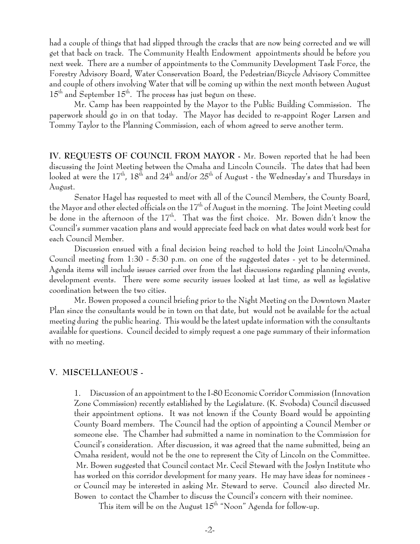had a couple of things that had slipped through the cracks that are now being corrected and we will get that back on track. The Community Health Endowment appointments should be before you next week. There are a number of appointments to the Community Development Task Force, the Forestry Advisory Board, Water Conservation Board, the Pedestrian/Bicycle Advisory Committee and couple of others involving Water that will be coming up within the next month between August  $15<sup>th</sup>$  and September  $15<sup>th</sup>$ . The process has just begun on these.

Mr. Camp has been reappointed by the Mayor to the Public Building Commission. The paperwork should go in on that today. The Mayor has decided to re-appoint Roger Larsen and Tommy Taylor to the Planning Commission, each of whom agreed to serve another term.

**IV. REQUESTS OF COUNCIL FROM MAYOR -** Mr. Bowen reported that he had been discussing the Joint Meeting between the Omaha and Lincoln Councils. The dates that had been looked at were the  $17<sup>th</sup>$ ,  $18<sup>th</sup>$  and  $24<sup>th</sup>$  and/or  $25<sup>th</sup>$  of August - the Wednesday's and Thursdays in August.

Senator Hagel has requested to meet with all of the Council Members, the County Board, the Mayor and other elected officials on the 17<sup>th</sup> of August in the morning. The Joint Meeting could be done in the afternoon of the 17<sup>th</sup>. That was the first choice. Mr. Bowen didn't know the Council's summer vacation plans and would appreciate feed back on what dates would work best for each Council Member.

Discussion ensued with a final decision being reached to hold the Joint Lincoln/Omaha Council meeting from 1:30 - 5:30 p.m. on one of the suggested dates - yet to be determined. Agenda items will include issues carried over from the last discussions regarding planning events, development events. There were some security issues looked at last time, as well as legislative coordination between the two cities.

Mr. Bowen proposed a council briefing prior to the Night Meeting on the Downtown Master Plan since the consultants would be in town on that date, but would not be available for the actual meeting during the public hearing. This would be the latest update information with the consultants available for questions. Council decided to simply request a one page summary of their information with no meeting.

## **V. MISCELLANEOUS -**

1. Discussion of an appointment to the I-80 Economic Corridor Commission (Innovation Zone Commission) recently established by the Legislature. (K. Svoboda) Council discussed their appointment options. It was not known if the County Board would be appointing County Board members. The Council had the option of appointing a Council Member or someone else. The Chamber had submitted a name in nomination to the Commission for Council's consideration. After discussion, it was agreed that the name submitted, being an Omaha resident, would not be the one to represent the City of Lincoln on the Committee. Mr. Bowen suggested that Council contact Mr. Cecil Steward with the Joslyn Institute who has worked on this corridor development for many years. He may have ideas for nominees or Council may be interested in asking Mr. Steward to serve. Council also directed Mr. Bowen to contact the Chamber to discuss the Council's concern with their nominee.

This item will be on the August  $15^{\text{th}}$  "Noon" Agenda for follow-up.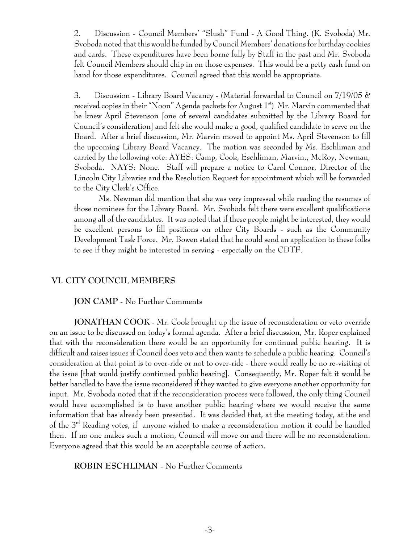2. Discussion - Council Members' "Slush" Fund - A Good Thing. (K. Svoboda) Mr. Svoboda noted that this would be funded by Council Members' donations for birthday cookies and cards. These expenditures have been borne fully by Staff in the past and Mr. Svoboda felt Council Members should chip in on those expenses. This would be a petty cash fund on hand for those expenditures. Council agreed that this would be appropriate.

3. Discussion - Library Board Vacancy - (Material forwarded to Council on 7/19/05 & received copies in their "Noon" Agenda packets for August  $1<sup>st</sup>$ ) Mr. Marvin commented that he knew April Stevenson [one of several candidates submitted by the Library Board for Council's consideration] and felt she would make a good, qualified candidate to serve on the Board. After a brief discussion, Mr. Marvin moved to appoint Ms. April Stevenson to fill the upcoming Library Board Vacancy. The motion was seconded by Ms. Eschliman and carried by the following vote: AYES: Camp, Cook, Eschliman, Marvin,, McRoy, Newman, Svoboda. NAYS: None. Staff will prepare a notice to Carol Connor, Director of the Lincoln City Libraries and the Resolution Request for appointment which will be forwarded to the City Clerk's Office.

Ms. Newman did mention that she was very impressed while reading the resumes of those nominees for the Library Board. Mr. Svoboda felt there were excellent qualifications among all of the candidates. It was noted that if these people might be interested, they would be excellent persons to fill positions on other City Boards - such as the Community Development Task Force. Mr. Bowen stated that he could send an application to these folks to see if they might be interested in serving - especially on the CDTF.

## **VI. CITY COUNCIL MEMBERS**

### **JON CAMP** - No Further Comments

**JONATHAN COOK** - Mr. Cook brought up the issue of reconsideration or veto override on an issue to be discussed on today's formal agenda. After a brief discussion, Mr. Roper explained that with the reconsideration there would be an opportunity for continued public hearing. It is difficult and raises issues if Council does veto and then wants to schedule a public hearing. Council's consideration at that point is to over-ride or not to over-ride - there would really be no re-visiting of the issue [that would justify continued public hearing]. Consequently, Mr. Roper felt it would be better handled to have the issue reconsidered if they wanted to give everyone another opportunity for input. Mr. Svoboda noted that if the reconsideration process were followed, the only thing Council would have accomplished is to have another public hearing where we would receive the same information that has already been presented. It was decided that, at the meeting today, at the end of the 3rd Reading votes, if anyone wished to make a reconsideration motion it could be handled then. If no one makes such a motion, Council will move on and there will be no reconsideration. Everyone agreed that this would be an acceptable course of action.

**ROBIN ESCHLIMAN** - No Further Comments